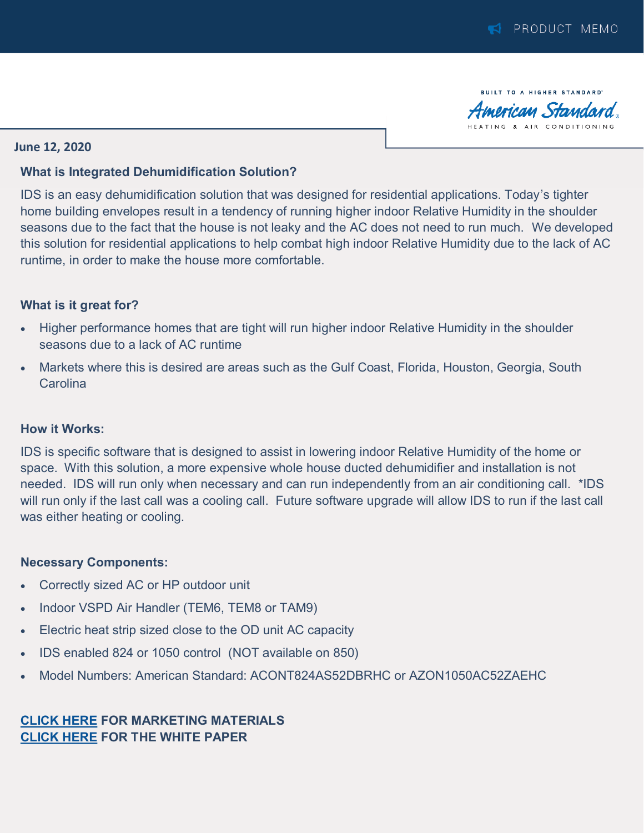BUILT TO A HIGHER STANDARD

# American Standard EATING & AIR CONDI

## **June 12, 2020**

## **What is Integrated Dehumidification Solution?**

IDS is an easy dehumidification solution that was designed for residential applications. Today's tighter home building envelopes result in a tendency of running higher indoor Relative Humidity in the shoulder seasons due to the fact that the house is not leaky and the AC does not need to run much. We developed this solution for residential applications to help combat high indoor Relative Humidity due to the lack of AC runtime, in order to make the house more comfortable.

### **What is it great for?**

- Higher performance homes that are tight will run higher indoor Relative Humidity in the shoulder seasons due to a lack of AC runtime
- Markets where this is desired are areas such as the Gulf Coast, Florida, Houston, Georgia, South **Carolina**

## **How it Works:**

IDS is specific software that is designed to assist in lowering indoor Relative Humidity of the home or space. With this solution, a more expensive whole house ducted dehumidifier and installation is not needed. IDS will run only when necessary and can run independently from an air conditioning call. \*IDS will run only if the last call was a cooling call. Future software upgrade will allow IDS to run if the last call was either heating or cooling.

#### **Necessary Components:**

- Correctly sized AC or HP outdoor unit
- Indoor VSPD Air Handler (TEM6, TEM8 or TAM9)
- Electric heat strip sized close to the OD unit AC capacity
- IDS enabled 824 or 1050 control (NOT available on 850)
- Model Numbers: American Standard: ACONT824AS52DBRHC or AZON1050AC52ZAEHC

## **[CLICK HERE](https://www.asdealernet.com/Resources/Partners/007da985-2089-45bc-951a-51214cdf9f7b/documents/AMST_RNC%20IDS%20One%20Page_V@.pdf) FOR MARKETING MATERIALS [CLICK HERE](https://www.asdealernet.com/Resources/Partners/007da985-2089-45bc-951a-51214cdf9f7b/documents/18-PGTEQ-1036%20-%20White%20Paper-AMST.pdf) FOR THE WHITE PAPER**